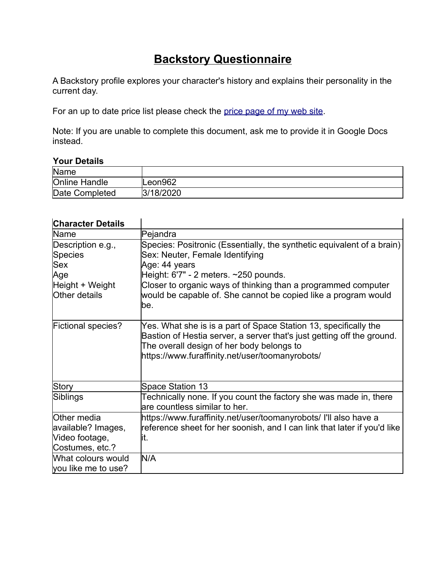## **Backstory Questionnaire**

A Backstory profile explores your character's history and explains their personality in the current day.

For an up to date price list please check the price page of my web site.

Note: If you are unable to complete this document, ask me to provide it in Google Docs instead.

## **Your Details**

| Name                 |           |
|----------------------|-----------|
| <b>Online Handle</b> | Leon962   |
| Date Completed       | 3/18/2020 |

| Character Details                                                                                                   |                                                                                                                                                                                                                                                                                                                |
|---------------------------------------------------------------------------------------------------------------------|----------------------------------------------------------------------------------------------------------------------------------------------------------------------------------------------------------------------------------------------------------------------------------------------------------------|
| Name                                                                                                                | Pejandra                                                                                                                                                                                                                                                                                                       |
| Description e.g.,<br>Species<br><b>Sex</b><br>Age<br>Height + Weight<br>Other details                               | Species: Positronic (Essentially, the synthetic equivalent of a brain)<br>Sex: Neuter, Female Identifying<br>Age: 44 years<br>Height: 6'7" - 2 meters. ~250 pounds.<br>Closer to organic ways of thinking than a programmed computer<br>would be capable of. She cannot be copied like a program would<br>lbe. |
| <b>Fictional species?</b>                                                                                           | Yes. What she is is a part of Space Station 13, specifically the<br>Bastion of Hestia server, a server that's just getting off the ground.<br>The overall design of her body belongs to<br>https://www.furaffinity.net/user/toomanyrobots/                                                                     |
| Story                                                                                                               | <b>Space Station 13</b>                                                                                                                                                                                                                                                                                        |
| Siblings                                                                                                            | Technically none. If you count the factory she was made in, there<br>lare countless similar to her.                                                                                                                                                                                                            |
| Other media<br>available? Images,<br>Video footage,<br>Costumes, etc.?<br>What colours would<br>you like me to use? | https://www.furaffinity.net/user/toomanyrobots/ I'll also have a<br>reference sheet for her soonish, and I can link that later if you'd like<br>lit.<br>N/A                                                                                                                                                    |

## **Character Details**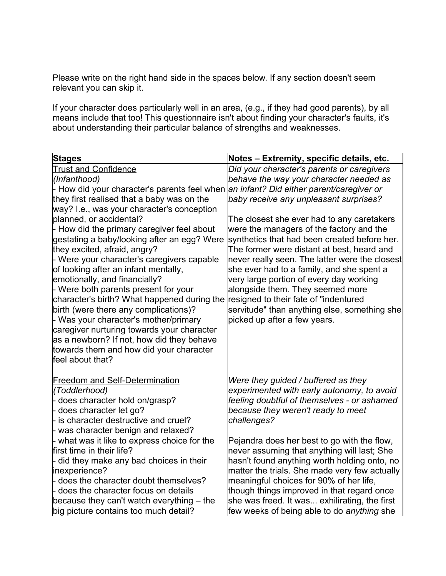Please write on the right hand side in the spaces below. If any section doesn't seem relevant you can skip it.

If your character does particularly well in an area, (e.g., if they had good parents), by all means include that too! This questionnaire isn't about finding your character's faults, it's about understanding their particular balance of strengths and weaknesses.

| <b>Stages</b>                                                                                                                                                                                                                                                                                                                                                                                                                                                                                                                                                                                                                                                                                                                                                                                             | Notes - Extremity, specific details, etc.                                                                                                                                                                                                                                                                                                                                                                                                                                                                                                                                                                                                                                   |
|-----------------------------------------------------------------------------------------------------------------------------------------------------------------------------------------------------------------------------------------------------------------------------------------------------------------------------------------------------------------------------------------------------------------------------------------------------------------------------------------------------------------------------------------------------------------------------------------------------------------------------------------------------------------------------------------------------------------------------------------------------------------------------------------------------------|-----------------------------------------------------------------------------------------------------------------------------------------------------------------------------------------------------------------------------------------------------------------------------------------------------------------------------------------------------------------------------------------------------------------------------------------------------------------------------------------------------------------------------------------------------------------------------------------------------------------------------------------------------------------------------|
| <b>Trust and Confidence</b><br>(Infanthood)<br>- How did your character's parents feel when<br>they first realised that a baby was on the<br>way? I.e., was your character's conception<br>planned, or accidental?<br>- How did the primary caregiver feel about<br>gestating a baby/looking after an egg? Were<br>they excited, afraid, angry?<br>- Were your character's caregivers capable<br>of looking after an infant mentally,<br>emotionally, and financially?<br>- Were both parents present for your<br>character's birth? What happened during the<br>birth (were there any complications)?<br>- Was your character's mother/primary<br>caregiver nurturing towards your character<br>as a newborn? If not, how did they behave<br>towards them and how did your character<br>feel about that? | Did your character's parents or caregivers<br>behave the way your character needed as<br>an infant? Did either parent/caregiver or<br>baby receive any unpleasant surprises?<br>The closest she ever had to any caretakers<br>were the managers of the factory and the<br>synthetics that had been created before her.<br>The former were distant at best, heard and<br>never really seen. The latter were the closest<br>she ever had to a family, and she spent a<br>very large portion of every day working<br>alongside them. They seemed more<br>resigned to their fate of "indentured<br>servitude" than anything else, something she<br>picked up after a few years. |
| <b>Freedom and Self-Determination</b><br>(Toddlerhood)<br>- does character hold on/grasp?<br>does character let go?<br>- is character destructive and cruel?<br>- was character benign and relaxed?<br>- what was it like to express choice for the<br>first time in their life?<br>- did they make any bad choices in their<br>inexperience?<br>- does the character doubt themselves?<br>- does the character focus on details<br>because they can't watch everything $-$ the<br>big picture contains too much detail?                                                                                                                                                                                                                                                                                  | Were they guided / buffered as they<br>experimented with early autonomy, to avoid<br>feeling doubtful of themselves - or ashamed<br>because they weren't ready to meet<br>challenges?<br>Pejandra does her best to go with the flow,<br>never assuming that anything will last; She<br>hasn't found anything worth holding onto, no<br>matter the trials. She made very few actually<br>meaningful choices for 90% of her life,<br>though things improved in that regard once<br>she was freed. It was exhilirating, the first<br>few weeks of being able to do anything she                                                                                                |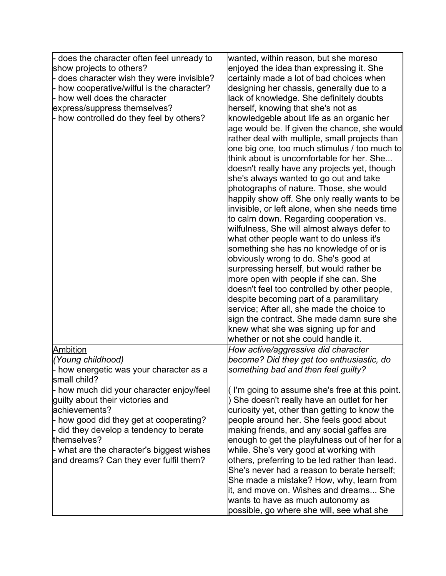| - does the character often feel unready to<br>show projects to others?<br>- does character wish they were invisible?<br>- how cooperative/wilful is the character?<br>- how well does the character<br>express/suppress themselves?<br>- how controlled do they feel by others?           | wanted, within reason, but she moreso<br>enjoyed the idea than expressing it. She<br>certainly made a lot of bad choices when<br>designing her chassis, generally due to a<br>lack of knowledge. She definitely doubts<br>herself, knowing that she's not as<br>knowledgeble about life as an organic her<br>age would be. If given the chance, she would<br>rather deal with multiple, small projects than<br>one big one, too much stimulus / too much to<br>think about is uncomfortable for her. She<br>doesn't really have any projects yet, though<br>she's always wanted to go out and take<br>photographs of nature. Those, she would<br>happily show off. She only really wants to be<br>invisible, or left alone, when she needs time<br>to calm down. Regarding cooperation vs.<br>wilfulness, She will almost always defer to<br>what other people want to do unless it's<br>something she has no knowledge of or is<br>obviously wrong to do. She's good at<br>surpressing herself, but would rather be<br>more open with people if she can. She<br>doesn't feel too controlled by other people,<br>despite becoming part of a paramilitary<br>service; After all, she made the choice to<br>sign the contract. She made damn sure she<br>knew what she was signing up for and<br>whether or not she could handle it. |
|-------------------------------------------------------------------------------------------------------------------------------------------------------------------------------------------------------------------------------------------------------------------------------------------|------------------------------------------------------------------------------------------------------------------------------------------------------------------------------------------------------------------------------------------------------------------------------------------------------------------------------------------------------------------------------------------------------------------------------------------------------------------------------------------------------------------------------------------------------------------------------------------------------------------------------------------------------------------------------------------------------------------------------------------------------------------------------------------------------------------------------------------------------------------------------------------------------------------------------------------------------------------------------------------------------------------------------------------------------------------------------------------------------------------------------------------------------------------------------------------------------------------------------------------------------------------------------------------------------------------------------------|
| Ambition                                                                                                                                                                                                                                                                                  | How active/aggressive did character                                                                                                                                                                                                                                                                                                                                                                                                                                                                                                                                                                                                                                                                                                                                                                                                                                                                                                                                                                                                                                                                                                                                                                                                                                                                                                |
| (Young childhood)<br>- how energetic was your character as a<br>small child?                                                                                                                                                                                                              | become? Did they get too enthusiastic, do<br>something bad and then feel guilty?                                                                                                                                                                                                                                                                                                                                                                                                                                                                                                                                                                                                                                                                                                                                                                                                                                                                                                                                                                                                                                                                                                                                                                                                                                                   |
| - how much did your character enjoy/feel<br>quilty about their victories and<br>achievements?<br>- how good did they get at cooperating?<br>- did they develop a tendency to berate<br>themselves?<br>- what are the character's biggest wishes<br>and dreams? Can they ever fulfil them? | (I'm going to assume she's free at this point.<br>She doesn't really have an outlet for her<br>curiosity yet, other than getting to know the<br>people around her. She feels good about<br>making friends, and any social gaffes are<br>enough to get the playfulness out of her for a<br>while. She's very good at working with<br>others, preferring to be led rather than lead.<br>She's never had a reason to berate herself;<br>She made a mistake? How, why, learn from<br>it, and move on. Wishes and dreams She<br>wants to have as much autonomy as<br>possible, go where she will, see what she                                                                                                                                                                                                                                                                                                                                                                                                                                                                                                                                                                                                                                                                                                                          |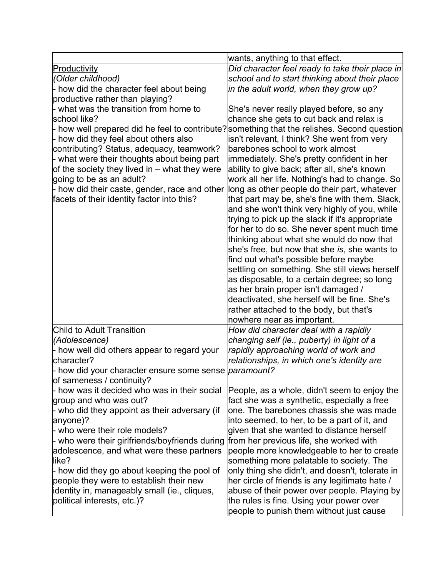|                                                              | wants, anything to that effect.                                                                  |
|--------------------------------------------------------------|--------------------------------------------------------------------------------------------------|
| Productivity                                                 | Did character feel ready to take their place in                                                  |
| (Older childhood)                                            | school and to start thinking about their place                                                   |
| - how did the character feel about being                     | in the adult world, when they grow up?                                                           |
| productive rather than playing?                              |                                                                                                  |
| - what was the transition from home to                       | She's never really played before, so any                                                         |
| school like?                                                 | chance she gets to cut back and relax is                                                         |
|                                                              | - how well prepared did he feel to contribute? something that the relishes. Second question      |
| - how did they feel about others also                        | isn't relevant, I think? She went from very                                                      |
| contributing? Status, adequacy, teamwork?                    | barebones school to work almost                                                                  |
| - what were their thoughts about being part                  | immediately. She's pretty confident in her                                                       |
| of the society they lived in $-$ what they were              | ability to give back; after all, she's known                                                     |
| going to be as an adult?                                     | work all her life. Nothing's had to change. So                                                   |
| - how did their caste, gender, race and other                | long as other people do their part, whatever                                                     |
| facets of their identity factor into this?                   | that part may be, she's fine with them. Slack,                                                   |
|                                                              | and she won't think very highly of you, while<br>trying to pick up the slack if it's appropriate |
|                                                              | for her to do so. She never spent much time                                                      |
|                                                              | thinking about what she would do now that                                                        |
|                                                              | she's free, but now that she is, she wants to                                                    |
|                                                              | find out what's possible before maybe                                                            |
|                                                              | settling on something. She still views herself                                                   |
|                                                              | as disposable, to a certain degree; so long                                                      |
|                                                              | as her brain proper isn't damaged /                                                              |
|                                                              | deactivated, she herself will be fine. She's                                                     |
|                                                              | rather attached to the body, but that's                                                          |
|                                                              | nowhere near as important.                                                                       |
| <b>Child to Adult Transition</b>                             | How did character deal with a rapidly                                                            |
| (Adolescence)                                                | changing self (ie., puberty) in light of a                                                       |
| - how well did others appear to regard your                  | rapidly approaching world of work and                                                            |
| character?                                                   | relationships, in which one's identity are                                                       |
| - how did your character ensure some sense <i>paramount?</i> |                                                                                                  |
| of sameness / continuity?                                    |                                                                                                  |
| - how was it decided who was in their social                 | People, as a whole, didn't seem to enjoy the                                                     |
| group and who was out?                                       | fact she was a synthetic, especially a free                                                      |
| - who did they appoint as their adversary (if                | one. The barebones chassis she was made                                                          |
| anyone)?<br>- who were their role models?                    | into seemed, to her, to be a part of it, and<br>given that she wanted to distance herself        |
| - who were their girlfriends/boyfriends during               | from her previous life, she worked with                                                          |
| adolescence, and what were these partners                    | people more knowledgeable to her to create                                                       |
| like?                                                        | something more palatable to society. The                                                         |
| - how did they go about keeping the pool of                  | only thing she didn't, and doesn't, tolerate in                                                  |
| people they were to establish their new                      | her circle of friends is any legitimate hate /                                                   |
| identity in, manageably small (ie., cliques,                 | abuse of their power over people. Playing by                                                     |
| political interests, etc.)?                                  | the rules is fine. Using your power over                                                         |
|                                                              | people to punish them without just cause                                                         |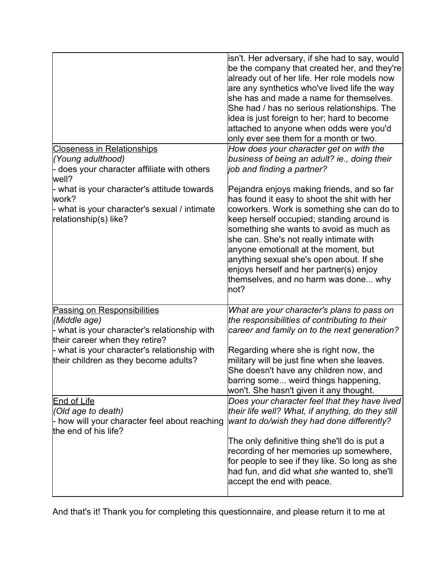|                                                                                                                                        | isn't. Her adversary, if she had to say, would<br>be the company that created her, and they're<br>already out of her life. Her role models now<br>are any synthetics who've lived life the way<br>she has and made a name for themselves.<br>She had / has no serious relationships. The<br>idea is just foreign to her; hard to become<br>attached to anyone when odds were you'd<br>only ever see them for a month or two.                                |
|----------------------------------------------------------------------------------------------------------------------------------------|-------------------------------------------------------------------------------------------------------------------------------------------------------------------------------------------------------------------------------------------------------------------------------------------------------------------------------------------------------------------------------------------------------------------------------------------------------------|
| <b>Closeness in Relationships</b><br>(Young adulthood)<br>- does your character affiliate with others                                  | How does your character get on with the<br>business of being an adult? ie., doing their<br>job and finding a partner?                                                                                                                                                                                                                                                                                                                                       |
| well?<br>- what is your character's attitude towards<br>work?<br>- what is your character's sexual / intimate<br>relationship(s) like? | Pejandra enjoys making friends, and so far<br>has found it easy to shoot the shit with her<br>coworkers. Work is something she can do to<br>keep herself occupied; standing around is<br>something she wants to avoid as much as<br>she can. She's not really intimate with<br>anyone emotionall at the moment, but<br>anything sexual she's open about. If she<br>enjoys herself and her partner(s) enjoy<br>themselves, and no harm was done why<br>lnot? |
| <b>Passing on Responsibilities</b><br>(Middle age)<br>- what is your character's relationship with                                     | What are your character's plans to pass on<br>the responsibilities of contributing to their<br>career and family on to the next generation?                                                                                                                                                                                                                                                                                                                 |
| their career when they retire?<br>- what is your character's relationship with<br>their children as they become adults?                | Regarding where she is right now, the<br>military will be just fine when she leaves.<br>She doesn't have any children now, and<br>barring some weird things happening,<br>won't. She hasn't given it any thought.                                                                                                                                                                                                                                           |
| <b>End of Life</b><br>(Old age to death)<br>- how will your character feel about reaching<br>the end of his life?                      | Does your character feel that they have lived<br>their life well? What, if anything, do they still<br>want to do/wish they had done differently?                                                                                                                                                                                                                                                                                                            |
|                                                                                                                                        | The only definitive thing she'll do is put a<br>recording of her memories up somewhere,<br>for people to see if they like. So long as she<br>had fun, and did what she wanted to, she'll<br>accept the end with peace.                                                                                                                                                                                                                                      |

And that's it! Thank you for completing this questionnaire, and please return it to me at